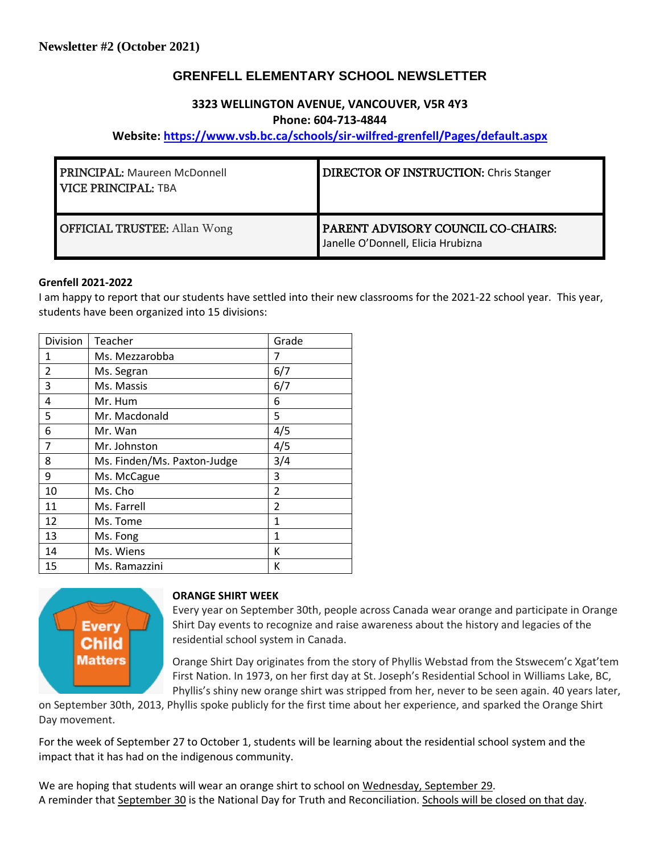# **GRENFELL ELEMENTARY SCHOOL NEWSLETTER**

## **3323 WELLINGTON AVENUE, VANCOUVER, V5R 4Y3 Phone: 604-713-4844**

## **Website: <https://www.vsb.bc.ca/schools/sir-wilfred-grenfell/Pages/default.aspx>**

| <b>PRINCIPAL: Maureen McDonnell</b><br><b>VICE PRINCIPAL: TBA</b> | <b>DIRECTOR OF INSTRUCTION: Chris Stanger</b>                            |
|-------------------------------------------------------------------|--------------------------------------------------------------------------|
| <b>OFFICIAL TRUSTEE:</b> Allan Wong                               | PARENT ADVISORY COUNCIL CO-CHAIRS:<br>Janelle O'Donnell, Elicia Hrubizna |

#### **Grenfell 2021-2022**

I am happy to report that our students have settled into their new classrooms for the 2021-22 school year. This year, students have been organized into 15 divisions:

| Division       | Teacher                     | Grade          |
|----------------|-----------------------------|----------------|
| 1              | Ms. Mezzarobba              | 7              |
| $\overline{2}$ | Ms. Segran                  | 6/7            |
| 3              | Ms. Massis                  | 6/7            |
| 4              | Mr. Hum                     | 6              |
| 5              | Mr. Macdonald               | 5              |
| 6              | Mr. Wan                     | 4/5            |
| 7              | Mr. Johnston                | 4/5            |
| 8              | Ms. Finden/Ms. Paxton-Judge | 3/4            |
| 9              | Ms. McCague                 | 3              |
| 10             | Ms. Cho                     | $\overline{2}$ |
| 11             | Ms. Farrell                 | $\overline{2}$ |
| 12             | Ms. Tome                    | $\mathbf{1}$   |
| 13             | Ms. Fong                    | 1              |
| 14             | Ms. Wiens                   | К              |
| 15             | Ms. Ramazzini               | К              |



#### **ORANGE SHIRT WEEK**

Every year on September 30th, people across Canada wear orange and participate in Orange Shirt Day events to recognize and raise awareness about the history and legacies of the residential school system in Canada.

Orange Shirt Day originates from the story of Phyllis Webstad from the Stswecem'c Xgat'tem First Nation. In 1973, on her first day at St. Joseph's Residential School in Williams Lake, BC, Phyllis's shiny new orange shirt was stripped from her, never to be seen again. 40 years later,

on September 30th, 2013, Phyllis spoke publicly for the first time about her experience, and sparked the Orange Shirt Day movement.

For the week of September 27 to October 1, students will be learning about the residential school system and the impact that it has had on the indigenous community.

We are hoping that students will wear an orange shirt to school on Wednesday, September 29. A reminder that September 30 is the National Day for Truth and Reconciliation. Schools will be closed on that day.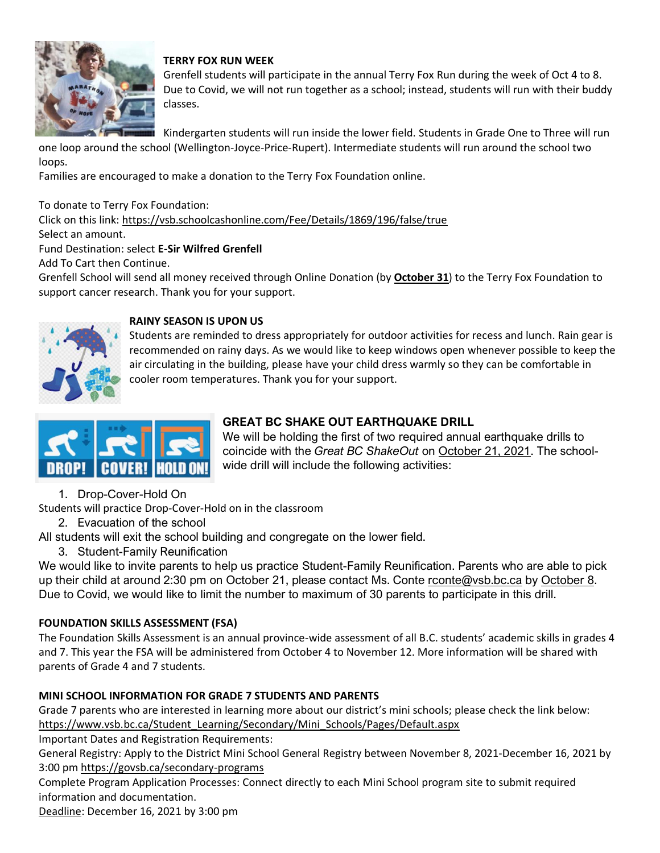

## **TERRY FOX RUN WEEK**

Grenfell students will participate in the annual Terry Fox Run during the week of Oct 4 to 8. Due to Covid, we will not run together as a school; instead, students will run with their buddy classes.

Kindergarten students will run inside the lower field. Students in Grade One to Three will run

one loop around the school (Wellington-Joyce-Price-Rupert). Intermediate students will run around the school two loops.

Families are encouraged to make a donation to the Terry Fox Foundation online.

To donate to Terry Fox Foundation:

Click on this link: <https://vsb.schoolcashonline.com/Fee/Details/1869/196/false/true> Select an amount.

Fund Destination: select **E-Sir Wilfred Grenfell**

Add To Cart then Continue.

Grenfell School will send all money received through Online Donation (by **October 31**) to the Terry Fox Foundation to support cancer research. Thank you for your support.



### **RAINY SEASON IS UPON US**

Students are reminded to dress appropriately for outdoor activities for recess and lunch. Rain gear is recommended on rainy days. As we would like to keep windows open whenever possible to keep the air circulating in the building, please have your child dress warmly so they can be comfortable in cooler room temperatures. Thank you for your support.



# **GREAT BC SHAKE OUT EARTHQUAKE DRILL**

We will be holding the first of two required annual earthquake drills to coincide with the *Great BC ShakeOut* on October 21, 2021. The schoolwide drill will include the following activities:

1. Drop-Cover-Hold On

Students will practice Drop-Cover-Hold on in the classroom

2. Evacuation of the school

All students will exit the school building and congregate on the lower field.

3. Student-Family Reunification

We would like to invite parents to help us practice Student-Family Reunification. Parents who are able to pick up their child at around 2:30 pm on October 21, please contact Ms. Conte [rconte@vsb.bc.ca](mailto:rconte@vsb.bc.ca) by October 8. Due to Covid, we would like to limit the number to maximum of 30 parents to participate in this drill.

## **FOUNDATION SKILLS ASSESSMENT (FSA)**

The Foundation Skills Assessment is an annual province-wide assessment of all B.C. students' academic skills in grades 4 and 7. This year the FSA will be administered from October 4 to November 12. More information will be shared with parents of Grade 4 and 7 students.

# **MINI SCHOOL INFORMATION FOR GRADE 7 STUDENTS AND PARENTS**

Grade 7 parents who are interested in learning more about our district's mini schools; please check the link below: [https://www.vsb.bc.ca/Student\\_Learning/Secondary/Mini\\_Schools/Pages/Default.aspx](https://www.vsb.bc.ca/Student_Learning/Secondary/Mini_Schools/Pages/Default.aspx)

Important Dates and Registration Requirements:

General Registry: Apply to the District Mini School General Registry between November 8, 2021-December 16, 2021 by 3:00 pm <https://govsb.ca/secondary-programs>

Complete Program Application Processes: Connect directly to each Mini School program site to submit required information and documentation.

Deadline: December 16, 2021 by 3:00 pm